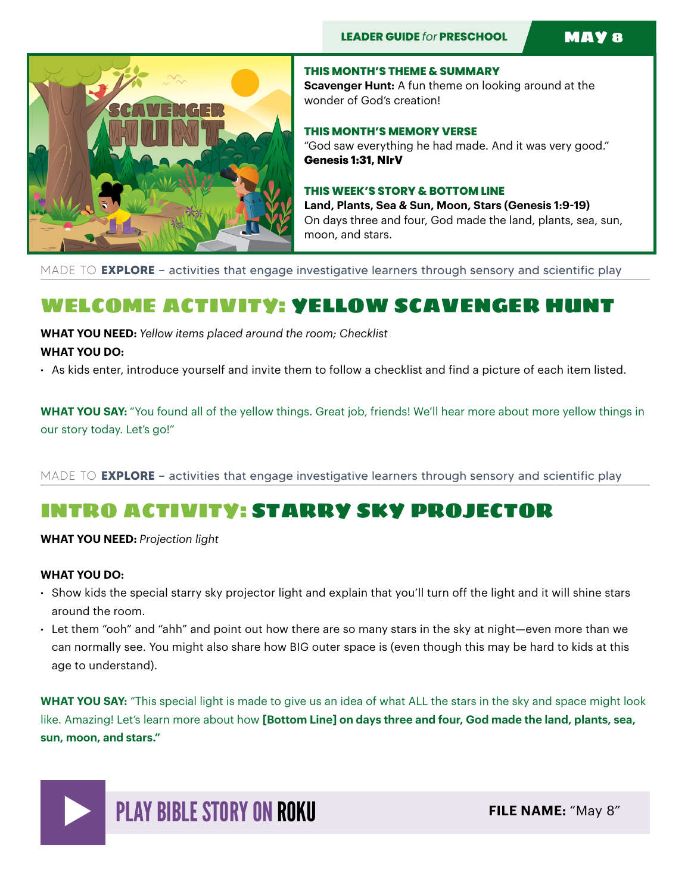

**THIS MONTH'S THEME & SUMMARY Scavenger Hunt:** A fun theme on looking around at the wonder of God's creation!

**THIS MONTH'S MEMORY VERSE**  "God saw everything he had made. And it was very good." **Genesis 1:31, NIrV** 

### **THIS WEEK'S STORY & BOTTOM LINE**

**Land, Plants, Sea & Sun, Moon, Stars (Genesis 1:9-19)**  On days three and four, God made the land, plants, sea, sun, moon, and stars.

MADE TO **EXPLORE** – activities that engage investigative learners through sensory and scientific play

## WELCOME ACTIVITY: YELLOW SCAVENGER HUNT

**WHAT YOU NEED:** *Yellow items placed around the room; Checklist* **WHAT YOU DO:** 

• As kids enter, introduce yourself and invite them to follow a checklist and find a picture of each item listed.

**WHAT YOU SAY:** "You found all of the yellow things. Great job, friends! We'll hear more about more yellow things in our story today. Let's go!"

MADE TO **EXPLORE** – activities that engage investigative learners through sensory and scientific play

## INTRO ACTIVITY: STARRY SKY PROJECTOR

**WHAT YOU NEED:** *Projection light* 

### **WHAT YOU DO:**

- Show kids the special starry sky projector light and explain that you'll turn off the light and it will shine stars around the room.
- Let them "ooh" and "ahh" and point out how there are so many stars in the sky at night—even more than we can normally see. You might also share how BIG outer space is (even though this may be hard to kids at this age to understand).

**WHAT YOU SAY:** "This special light is made to give us an idea of what ALL the stars in the sky and space might look like. Amazing! Let's learn more about how **[Bottom Line] on days three and four, God made the land, plants, sea, sun, moon, and stars."**

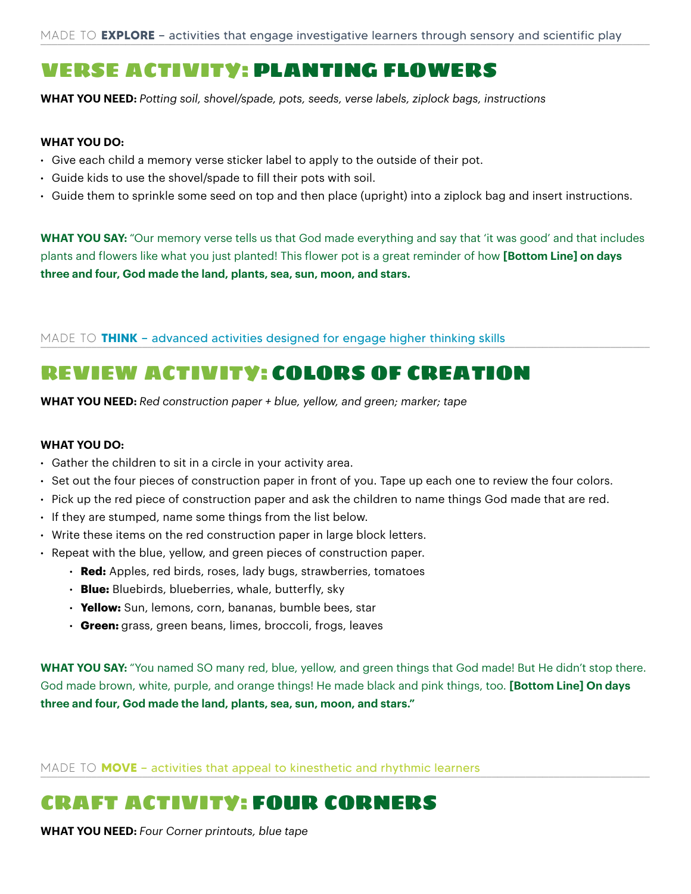## VERSE ACTIVITY: PLANTING FLOWERS

**WHAT YOU NEED:** *Potting soil, shovel/spade, pots, seeds, verse labels, ziplock bags, instructions*

### **WHAT YOU DO:**

- Give each child a memory verse sticker label to apply to the outside of their pot.
- Guide kids to use the shovel/spade to fill their pots with soil.
- Guide them to sprinkle some seed on top and then place (upright) into a ziplock bag and insert instructions.

**WHAT YOU SAY:** "Our memory verse tells us that God made everything and say that 'it was good' and that includes plants and flowers like what you just planted! This flower pot is a great reminder of how **[Bottom Line] on days three and four, God made the land, plants, sea, sun, moon, and stars.** 

MADE TO THINK - advanced activities designed for engage higher thinking skills

## REVIEW ACTIVITY: COLORS OF CREATION

**WHAT YOU NEED:** *Red construction paper + blue, yellow, and green; marker; tape*

### **WHAT YOU DO:**

- Gather the children to sit in a circle in your activity area.
- Set out the four pieces of construction paper in front of you. Tape up each one to review the four colors.
- Pick up the red piece of construction paper and ask the children to name things God made that are red.
- If they are stumped, name some things from the list below.
- Write these items on the red construction paper in large block letters.
- Repeat with the blue, yellow, and green pieces of construction paper.
	- **Red:** Apples, red birds, roses, lady bugs, strawberries, tomatoes
	- **Blue:** Bluebirds, blueberries, whale, butterfly, sky
	- **Yellow:** Sun, lemons, corn, bananas, bumble bees, star
	- **Green:** grass, green beans, limes, broccoli, frogs, leaves

**WHAT YOU SAY:** "You named SO many red, blue, yellow, and green things that God made! But He didn't stop there. God made brown, white, purple, and orange things! He made black and pink things, too. **[Bottom Line] On days three and four, God made the land, plants, sea, sun, moon, and stars."**

MADE TO **MOVE** - activities that appeal to kinesthetic and rhythmic learners

## CRAFT ACTIVITY: FOUR CORNERS

**WHAT YOU NEED:** *Four Corner printouts, blue tape*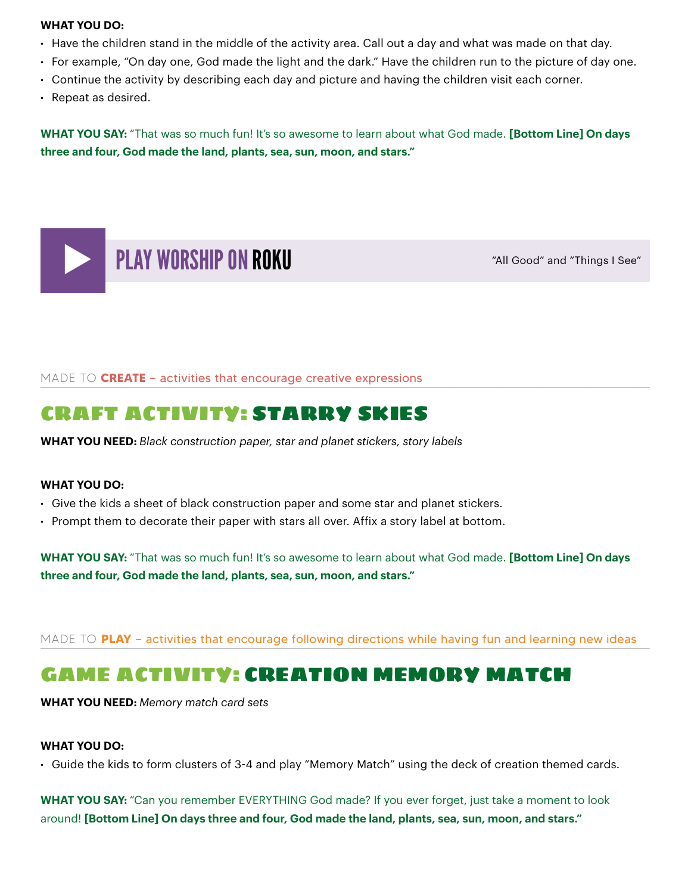#### **WHAT YOU DO:**

- Have the children stand in the middle of the activity area. Call out a day and what was made on that day.
- For example, "On day one, God made the light and the dark." Have the children run to the picture of day one.
- Continue the activity by describing each day and picture and having the children visit each corner.
- Repeat as desired.

**WHAT YOU SAY:** "That was so much fun! It's so awesome to learn about what God made. **[Bottom Line] On days three and four, God made the land, plants, sea, sun, moon, and stars."** 



MADE TO CREATE – activities that encourage creative expressions

### CRAFT ACTIVITY: STARRY SKIES

**WHAT YOU NEED:** *Black construction paper, star and planet stickers, story labels*

### **WHAT YOU DO:**

- Give the kids a sheet of black construction paper and some star and planet stickers.
- Prompt them to decorate their paper with stars all over. Affix a story label at bottom.

**WHAT YOU SAY:** "That was so much fun! It's so awesome to learn about what God made. **[Bottom Line] On days three and four, God made the land, plants, sea, sun, moon, and stars."** 

MADE TO PLAY – activities that encourage following directions while having fun and learning new ideas

## GAME ACTIVITY: CREATION MEMORY MATCH

**WHAT YOU NEED:** *Memory match card sets*

### **WHAT YOU DO:**

• Guide the kids to form clusters of 3-4 and play "Memory Match" using the deck of creation themed cards.

**WHAT YOU SAY:** "Can you remember EVERYTHING God made? If you ever forget, just take a moment to look around! **[Bottom Line] On days three and four, God made the land, plants, sea, sun, moon, and stars."**